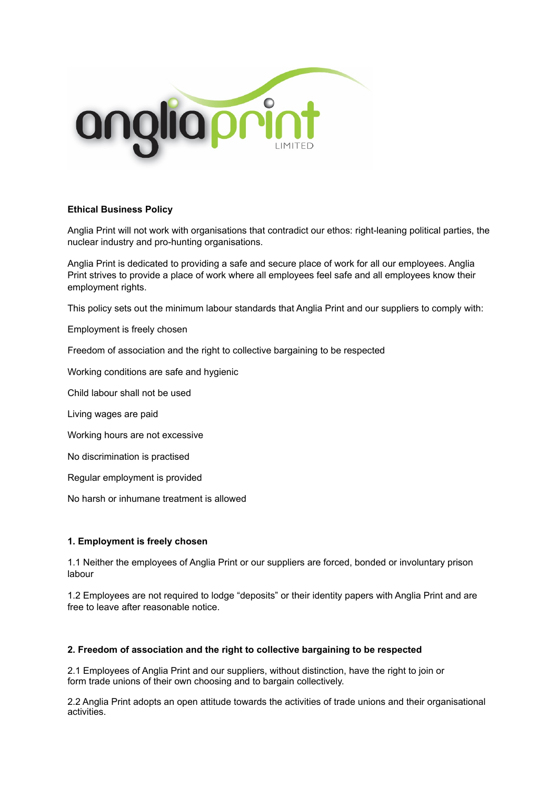

# **Ethical Business Policy**

Anglia Print will not work with organisations that contradict our ethos: right-leaning political parties, the nuclear industry and pro-hunting organisations.

Anglia Print is dedicated to providing a safe and secure place of work for all our employees. Anglia Print strives to provide a place of work where all employees feel safe and all employees know their employment rights.

This policy sets out the minimum labour standards that Anglia Print and our suppliers to comply with:

Employment is freely chosen

Freedom of association and the right to collective bargaining to be respected

Working conditions are safe and hygienic

Child labour shall not be used

Living wages are paid

Working hours are not excessive

No discrimination is practised

Regular employment is provided

No harsh or inhumane treatment is allowed

#### **1. Employment is freely chosen**

1.1 Neither the employees of Anglia Print or our suppliers are forced, bonded or involuntary prison labour

1.2 Employees are not required to lodge "deposits" or their identity papers with Anglia Print and are free to leave after reasonable notice.

#### **2. Freedom of association and the right to collective bargaining to be respected**

2.1 Employees of Anglia Print and our suppliers, without distinction, have the right to join or form trade unions of their own choosing and to bargain collectively.

2.2 Anglia Print adopts an open attitude towards the activities of trade unions and their organisational activities.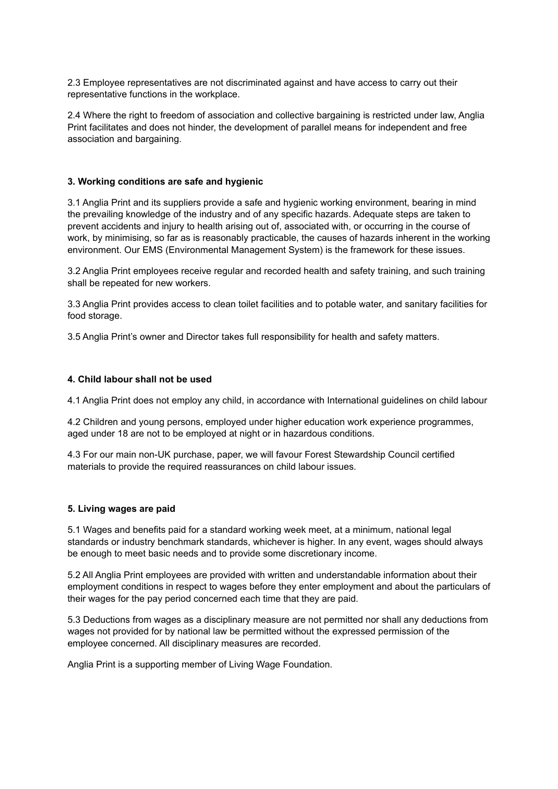2.3 Employee representatives are not discriminated against and have access to carry out their representative functions in the workplace.

2.4 Where the right to freedom of association and collective bargaining is restricted under law, Anglia Print facilitates and does not hinder, the development of parallel means for independent and free association and bargaining.

### **3. Working conditions are safe and hygienic**

3.1 Anglia Print and its suppliers provide a safe and hygienic working environment, bearing in mind the prevailing knowledge of the industry and of any specific hazards. Adequate steps are taken to prevent accidents and injury to health arising out of, associated with, or occurring in the course of work, by minimising, so far as is reasonably practicable, the causes of hazards inherent in the working environment. Our EMS (Environmental Management System) is the framework for these issues.

3.2 Anglia Print employees receive regular and recorded health and safety training, and such training shall be repeated for new workers.

3.3 Anglia Print provides access to clean toilet facilities and to potable water, and sanitary facilities for food storage.

3.5 Anglia Print's owner and Director takes full responsibility for health and safety matters.

### **4. Child labour shall not be used**

4.1 Anglia Print does not employ any child, in accordance with International guidelines on child labour

4.2 Children and young persons, employed under higher education work experience programmes, aged under 18 are not to be employed at night or in hazardous conditions.

4.3 For our main non-UK purchase, paper, we will favour Forest Stewardship Council certified materials to provide the required reassurances on child labour issues.

#### **5. Living wages are paid**

5.1 Wages and benefits paid for a standard working week meet, at a minimum, national legal standards or industry benchmark standards, whichever is higher. In any event, wages should always be enough to meet basic needs and to provide some discretionary income.

5.2 All Anglia Print employees are provided with written and understandable information about their employment conditions in respect to wages before they enter employment and about the particulars of their wages for the pay period concerned each time that they are paid.

5.3 Deductions from wages as a disciplinary measure are not permitted nor shall any deductions from wages not provided for by national law be permitted without the expressed permission of the employee concerned. All disciplinary measures are recorded.

Anglia Print is a supporting member of Living Wage Foundation.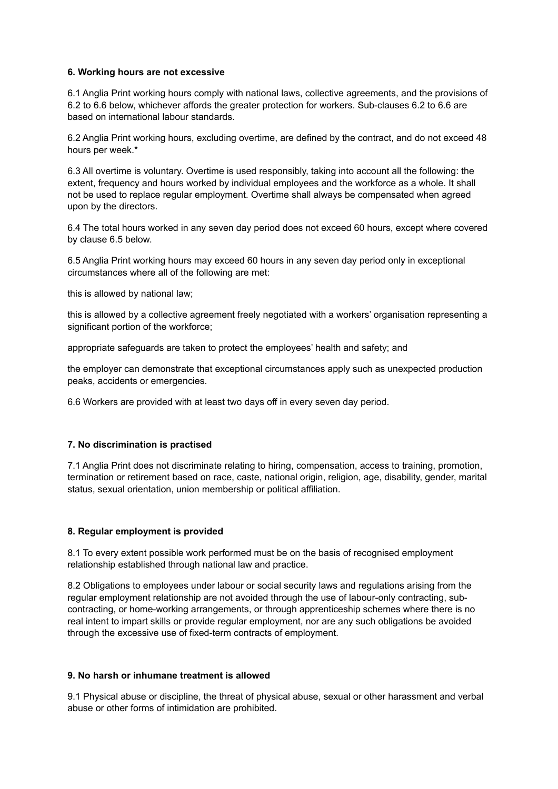### **6. Working hours are not excessive**

6.1 Anglia Print working hours comply with national laws, collective agreements, and the provisions of 6.2 to 6.6 below, whichever affords the greater protection for workers. Sub-clauses 6.2 to 6.6 are based on international labour standards.

6.2 Anglia Print working hours, excluding overtime, are defined by the contract, and do not exceed 48 hours per week.\*

6.3 All overtime is voluntary. Overtime is used responsibly, taking into account all the following: the extent, frequency and hours worked by individual employees and the workforce as a whole. It shall not be used to replace regular employment. Overtime shall always be compensated when agreed upon by the directors.

6.4 The total hours worked in any seven day period does not exceed 60 hours, except where covered by clause 6.5 below.

6.5 Anglia Print working hours may exceed 60 hours in any seven day period only in exceptional circumstances where all of the following are met:

this is allowed by national law;

this is allowed by a collective agreement freely negotiated with a workers' organisation representing a significant portion of the workforce;

appropriate safeguards are taken to protect the employees' health and safety; and

the employer can demonstrate that exceptional circumstances apply such as unexpected production peaks, accidents or emergencies.

6.6 Workers are provided with at least two days off in every seven day period.

# **7. No discrimination is practised**

7.1 Anglia Print does not discriminate relating to hiring, compensation, access to training, promotion, termination or retirement based on race, caste, national origin, religion, age, disability, gender, marital status, sexual orientation, union membership or political affiliation.

# **8. Regular employment is provided**

8.1 To every extent possible work performed must be on the basis of recognised employment relationship established through national law and practice.

8.2 Obligations to employees under labour or social security laws and regulations arising from the regular employment relationship are not avoided through the use of labour-only contracting, subcontracting, or home-working arrangements, or through apprenticeship schemes where there is no real intent to impart skills or provide regular employment, nor are any such obligations be avoided through the excessive use of fixed-term contracts of employment.

#### **9. No harsh or inhumane treatment is allowed**

9.1 Physical abuse or discipline, the threat of physical abuse, sexual or other harassment and verbal abuse or other forms of intimidation are prohibited.